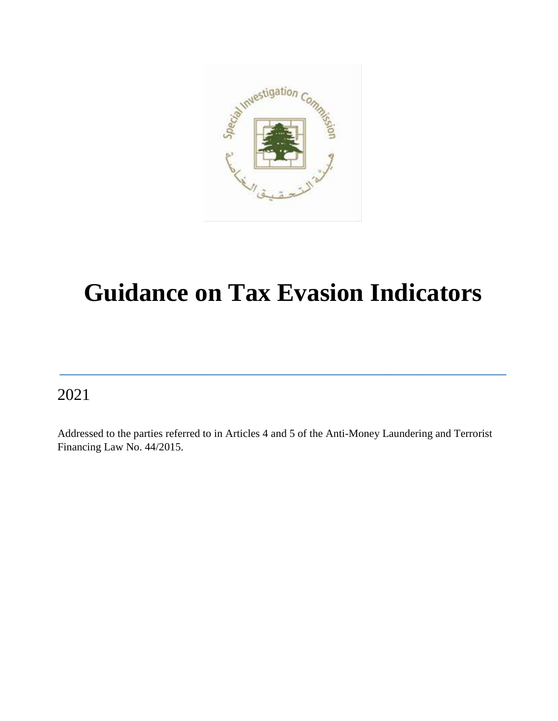

# **Guidance on Tax Evasion Indicators**

**\_\_\_\_\_\_\_\_\_\_\_\_\_\_\_\_\_\_\_\_\_\_\_\_\_\_\_\_\_\_\_\_\_\_\_\_\_\_\_\_\_\_\_\_\_\_\_\_\_\_\_\_\_\_\_\_\_\_\_\_\_\_\_\_\_\_\_\_\_\_**

### 2021

Addressed to the parties referred to in Articles 4 and 5 of the Anti-Money Laundering and Terrorist Financing Law No. 44/2015.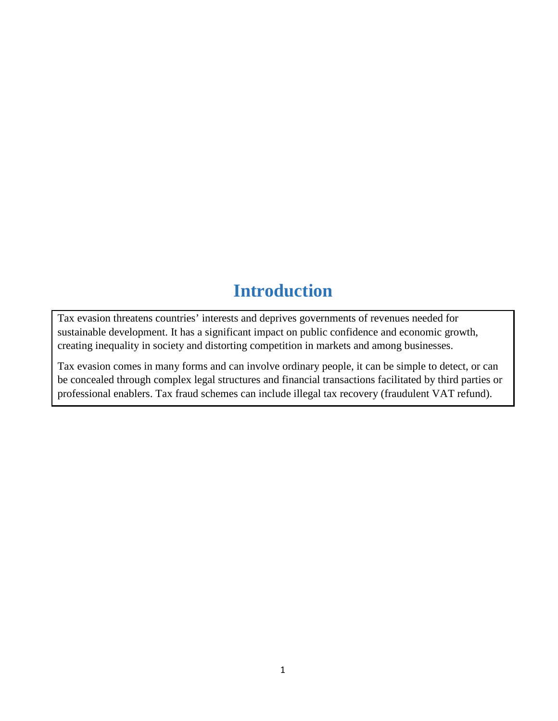# **Introduction**

Tax evasion threatens countries' interests and deprives governments of revenues needed for sustainable development. It has a significant impact on public confidence and economic growth, creating inequality in society and distorting competition in markets and among businesses.

Tax evasion comes in many forms and can involve ordinary people, it can be simple to detect, or can be concealed through complex legal structures and financial transactions facilitated by third parties or professional enablers. Tax fraud schemes can include illegal tax recovery (fraudulent VAT refund).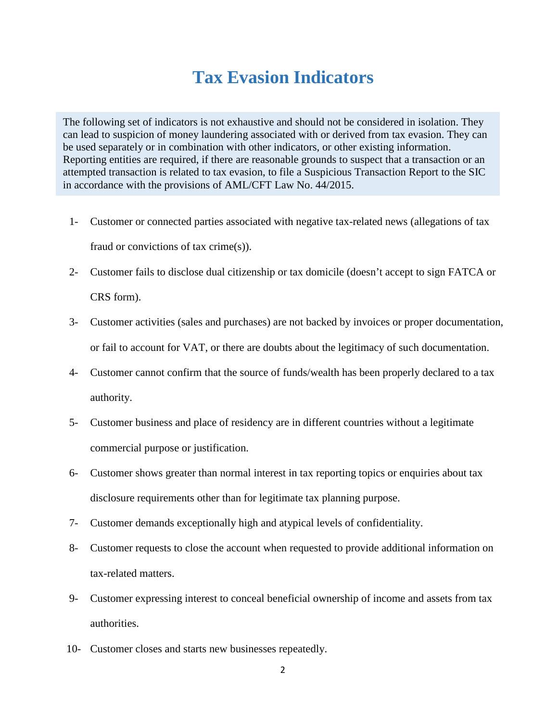### **Tax Evasion Indicators**

The following set of indicators is not exhaustive and should not be considered in isolation. They can lead to suspicion of money laundering associated with or derived from tax evasion. They can be used separately or in combination with other indicators, or other existing information. Reporting entities are required, if there are reasonable grounds to suspect that a transaction or an attempted transaction is related to tax evasion, to file a Suspicious Transaction Report to the SIC in accordance with the provisions of AML/CFT Law No. 44/2015.

- 1- Customer or connected parties associated with negative tax-related news (allegations of tax fraud or convictions of tax crime(s)).
- 2- Customer fails to disclose dual citizenship or tax domicile (doesn't accept to sign FATCA or CRS form).
- 3- Customer activities (sales and purchases) are not backed by invoices or proper documentation, or fail to account for VAT, or there are doubts about the legitimacy of such documentation.
- 4- Customer cannot confirm that the source of funds/wealth has been properly declared to a tax authority.
- 5- Customer business and place of residency are in different countries without a legitimate commercial purpose or justification.
- 6- Customer shows greater than normal interest in tax reporting topics or enquiries about tax disclosure requirements other than for legitimate tax planning purpose.
- 7- Customer demands exceptionally high and atypical levels of confidentiality.
- 8- Customer requests to close the account when requested to provide additional information on tax-related matters.
- 9- Customer expressing interest to conceal beneficial ownership of income and assets from tax authorities.
- 10- Customer closes and starts new businesses repeatedly.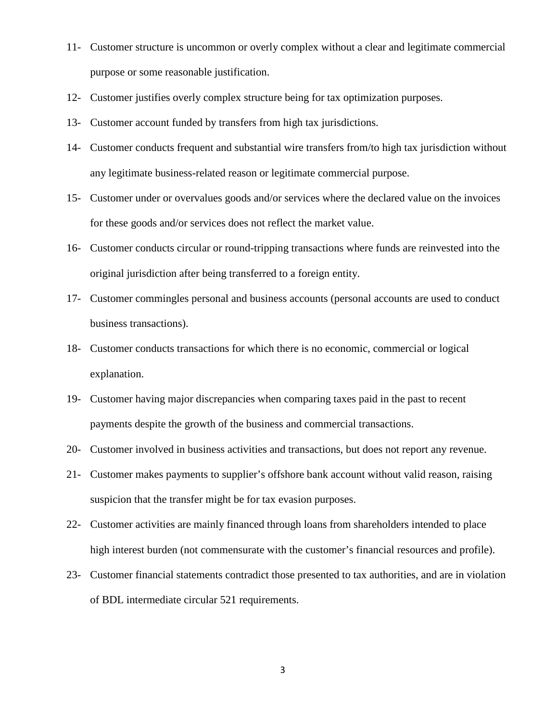- 11- Customer structure is uncommon or overly complex without a clear and legitimate commercial purpose or some reasonable justification.
- 12- Customer justifies overly complex structure being for tax optimization purposes.
- 13- Customer account funded by transfers from high tax jurisdictions.
- 14- Customer conducts frequent and substantial wire transfers from/to high tax jurisdiction without any legitimate business-related reason or legitimate commercial purpose.
- 15- Customer under or overvalues goods and/or services where the declared value on the invoices for these goods and/or services does not reflect the market value.
- 16- Customer conducts circular or round-tripping transactions where funds are reinvested into the original jurisdiction after being transferred to a foreign entity.
- 17- Customer commingles personal and business accounts (personal accounts are used to conduct business transactions).
- 18- Customer conducts transactions for which there is no economic, commercial or logical explanation.
- 19- Customer having major discrepancies when comparing taxes paid in the past to recent payments despite the growth of the business and commercial transactions.
- 20- Customer involved in business activities and transactions, but does not report any revenue.
- 21- Customer makes payments to supplier's offshore bank account without valid reason, raising suspicion that the transfer might be for tax evasion purposes.
- 22- Customer activities are mainly financed through loans from shareholders intended to place high interest burden (not commensurate with the customer's financial resources and profile).
- 23- Customer financial statements contradict those presented to tax authorities, and are in violation of BDL intermediate circular 521 requirements.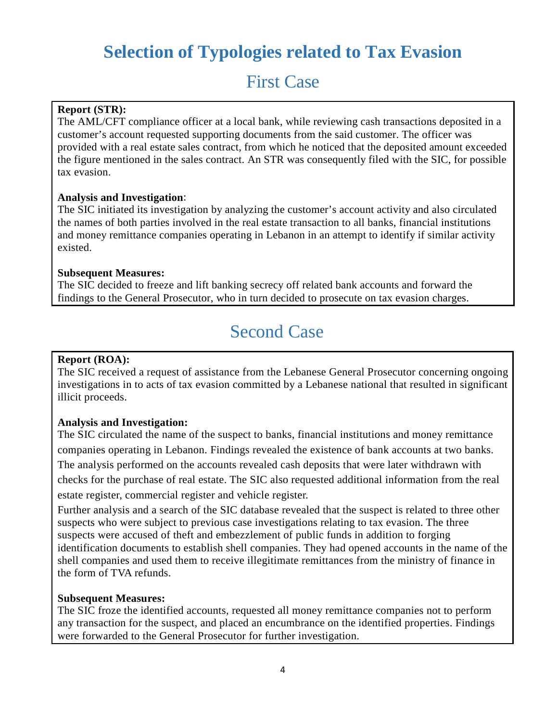# **Selection of Typologies related to Tax Evasion**

## First Case

#### **Report (STR):**

The AML/CFT compliance officer at a local bank, while reviewing cash transactions deposited in a customer's account requested supporting documents from the said customer. The officer was provided with a real estate sales contract, from which he noticed that the deposited amount exceeded the figure mentioned in the sales contract. An STR was consequently filed with the SIC, for possible tax evasion.

#### **Analysis and Investigation**:

The SIC initiated its investigation by analyzing the customer's account activity and also circulated the names of both parties involved in the real estate transaction to all banks, financial institutions and money remittance companies operating in Lebanon in an attempt to identify if similar activity existed.

#### **Subsequent Measures:**

The SIC decided to freeze and lift banking secrecy off related bank accounts and forward the findings to the General Prosecutor, who in turn decided to prosecute on tax evasion charges.

# Second Case

#### **Report (ROA):**

The SIC received a request of assistance from the Lebanese General Prosecutor concerning ongoing investigations in to acts of tax evasion committed by a Lebanese national that resulted in significant illicit proceeds.

#### **Analysis and Investigation:**

The SIC circulated the name of the suspect to banks, financial institutions and money remittance companies operating in Lebanon. Findings revealed the existence of bank accounts at two banks. The analysis performed on the accounts revealed cash deposits that were later withdrawn with checks for the purchase of real estate. The SIC also requested additional information from the real estate register, commercial register and vehicle register.

Further analysis and a search of the SIC database revealed that the suspect is related to three other suspects who were subject to previous case investigations relating to tax evasion. The three suspects were accused of theft and embezzlement of public funds in addition to forging identification documents to establish shell companies. They had opened accounts in the name of the shell companies and used them to receive illegitimate remittances from the ministry of finance in the form of TVA refunds.

#### **Subsequent Measures:**

The SIC froze the identified accounts, requested all money remittance companies not to perform any transaction for the suspect, and placed an encumbrance on the identified properties. Findings were forwarded to the General Prosecutor for further investigation.